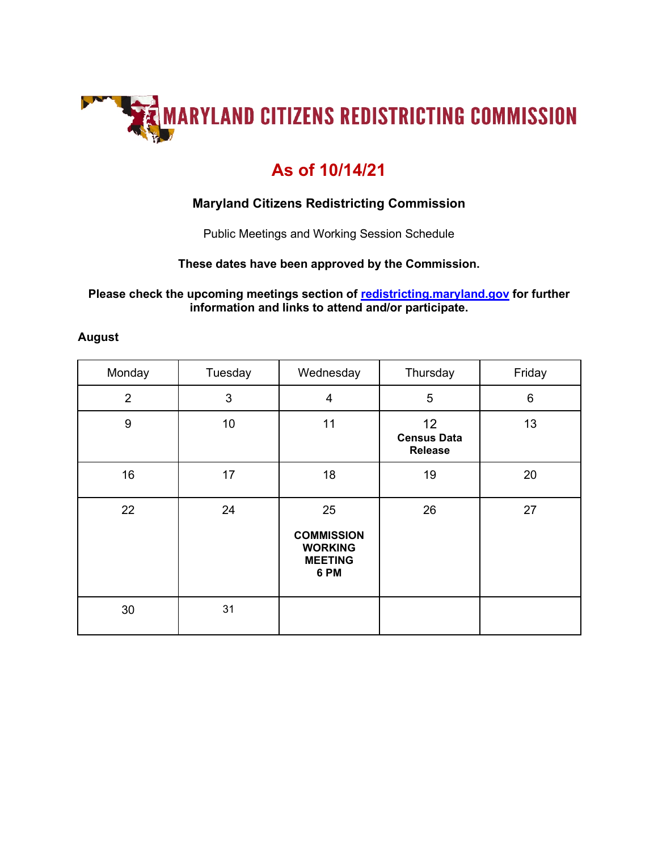

# **As of 10/14/21**

## **Maryland Citizens Redistricting Commission**

Public Meetings and Working Session Schedule

#### **These dates have been approved by the Commission.**

#### **Please check the upcoming meetings section of [redistricting.maryland.gov](mailto:redistricting@maryland.gov) for further information and links to attend and/or participate.**

#### **August**

| Monday         | Tuesday | Wednesday                                                           | Thursday                                   | Friday |
|----------------|---------|---------------------------------------------------------------------|--------------------------------------------|--------|
| $\overline{2}$ | 3       | 4                                                                   | 5                                          | 6      |
| $9$            | 10      | 11                                                                  | 12<br><b>Census Data</b><br><b>Release</b> | 13     |
| 16             | 17      | 18                                                                  | 19                                         | 20     |
| 22             | 24      | 25<br><b>COMMISSION</b><br><b>WORKING</b><br><b>MEETING</b><br>6 PM | 26                                         | 27     |
| 30             | 31      |                                                                     |                                            |        |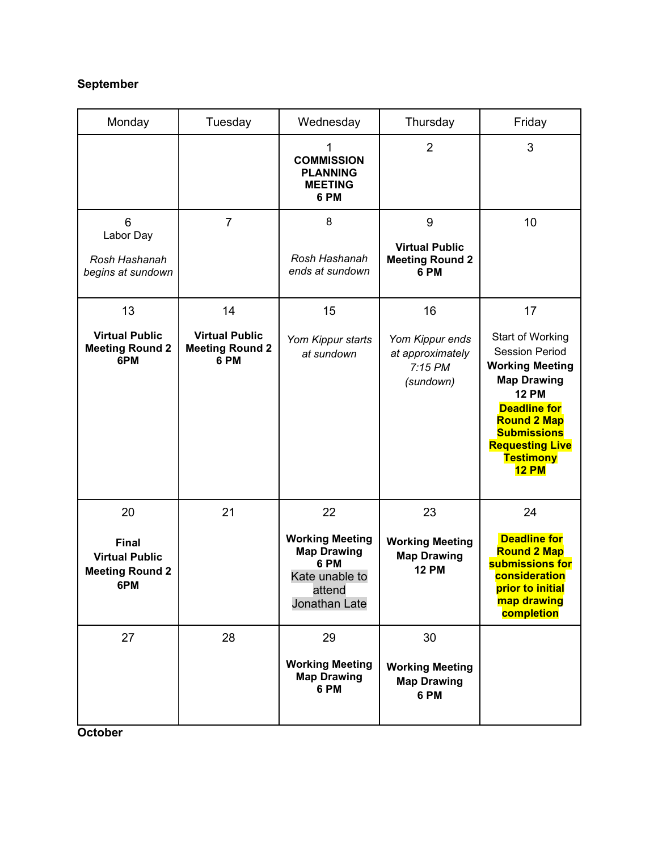### **September**

| Monday                                                                 | Tuesday                                                 | Wednesday                                                                                         | Thursday                                                      | Friday                                                                                                                                                                                                                                     |
|------------------------------------------------------------------------|---------------------------------------------------------|---------------------------------------------------------------------------------------------------|---------------------------------------------------------------|--------------------------------------------------------------------------------------------------------------------------------------------------------------------------------------------------------------------------------------------|
|                                                                        |                                                         | <b>COMMISSION</b><br><b>PLANNING</b><br><b>MEETING</b><br>6 PM                                    | $\overline{2}$                                                | 3                                                                                                                                                                                                                                          |
| 6<br>Labor Day                                                         | $\overline{7}$                                          | 8                                                                                                 | 9<br><b>Virtual Public</b>                                    | 10                                                                                                                                                                                                                                         |
| Rosh Hashanah<br>begins at sundown                                     |                                                         | Rosh Hashanah<br>ends at sundown                                                                  | <b>Meeting Round 2</b><br>6 PM                                |                                                                                                                                                                                                                                            |
| 13                                                                     | 14                                                      | 15                                                                                                | 16                                                            | 17                                                                                                                                                                                                                                         |
| <b>Virtual Public</b><br><b>Meeting Round 2</b><br>6PM                 | <b>Virtual Public</b><br><b>Meeting Round 2</b><br>6 PM | Yom Kippur starts<br>at sundown                                                                   | Yom Kippur ends<br>at approximately<br>$7:15$ PM<br>(sundown) | Start of Working<br><b>Session Period</b><br><b>Working Meeting</b><br><b>Map Drawing</b><br><b>12 PM</b><br><b>Deadline for</b><br><b>Round 2 Map</b><br><b>Submissions</b><br><b>Requesting Live</b><br><b>Testimony</b><br><b>12 PM</b> |
| 20                                                                     | 21                                                      | 22                                                                                                | 23                                                            | 24                                                                                                                                                                                                                                         |
| <b>Final</b><br><b>Virtual Public</b><br><b>Meeting Round 2</b><br>6PM |                                                         | <b>Working Meeting</b><br><b>Map Drawing</b><br>6 PM<br>Kate unable to<br>attend<br>Jonathan Late | <b>Working Meeting</b><br><b>Map Drawing</b><br><b>12 PM</b>  | <b>Deadline for</b><br><b>Round 2 Map</b><br>submissions for<br>consideration<br><b>prior to initial</b><br>map drawing<br>completion                                                                                                      |
| 27                                                                     | 28                                                      | 29<br><b>Working Meeting</b><br><b>Map Drawing</b><br>6 PM                                        | 30<br><b>Working Meeting</b><br><b>Map Drawing</b><br>6 PM    |                                                                                                                                                                                                                                            |
|                                                                        |                                                         |                                                                                                   |                                                               |                                                                                                                                                                                                                                            |

**October**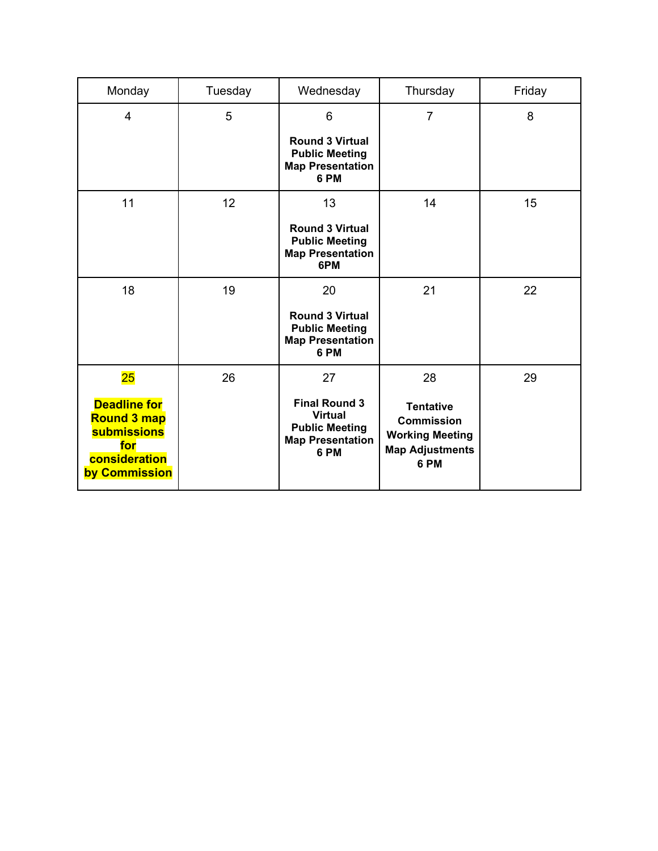| Monday                                                                                                   | Tuesday | Wednesday                                                                                          | Thursday                                                                                          | Friday |
|----------------------------------------------------------------------------------------------------------|---------|----------------------------------------------------------------------------------------------------|---------------------------------------------------------------------------------------------------|--------|
| $\overline{4}$                                                                                           | 5       | 6                                                                                                  | $\overline{7}$                                                                                    | 8      |
|                                                                                                          |         | <b>Round 3 Virtual</b><br><b>Public Meeting</b><br><b>Map Presentation</b><br>6 PM                 |                                                                                                   |        |
| 11                                                                                                       | 12      | 13                                                                                                 | 14                                                                                                | 15     |
|                                                                                                          |         | <b>Round 3 Virtual</b><br><b>Public Meeting</b><br><b>Map Presentation</b><br>6PM                  |                                                                                                   |        |
| 18                                                                                                       | 19      | 20                                                                                                 | 21                                                                                                | 22     |
|                                                                                                          |         | <b>Round 3 Virtual</b><br><b>Public Meeting</b><br><b>Map Presentation</b><br>6 PM                 |                                                                                                   |        |
| 25                                                                                                       | 26      | 27                                                                                                 | 28                                                                                                | 29     |
| <b>Deadline for</b><br><b>Round 3 map</b><br><b>submissions</b><br>for<br>consideration<br>by Commission |         | <b>Final Round 3</b><br><b>Virtual</b><br><b>Public Meeting</b><br><b>Map Presentation</b><br>6 PM | <b>Tentative</b><br><b>Commission</b><br><b>Working Meeting</b><br><b>Map Adjustments</b><br>6 PM |        |